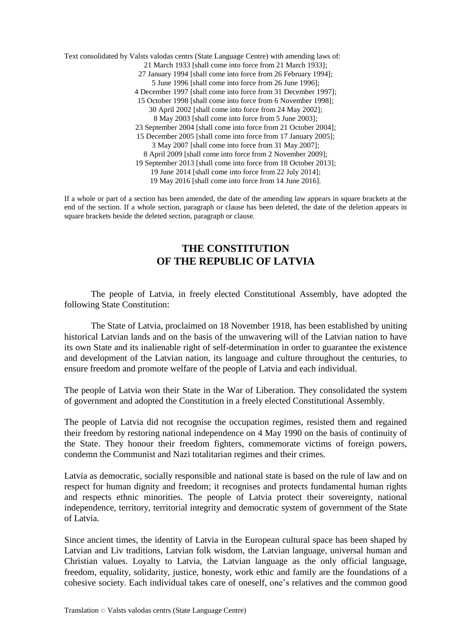Text consolidated by Valsts valodas centrs (State Language Centre) with amending laws of: 21 March 1933 [shall come into force from 21 March 1933]; 27 January 1994 [shall come into force from 26 February 1994]; 5 June 1996 [shall come into force from 26 June 1996]; 4 December 1997 [shall come into force from 31 December 1997]; 15 October 1998 [shall come into force from 6 November 1998]; 30 April 2002 [shall come into force from 24 May 2002]; 8 May 2003 [shall come into force from 5 June 2003]; 23 September 2004 [shall come into force from 21 October 2004]; 15 December 2005 [shall come into force from 17 January 2005]; 3 May 2007 [shall come into force from 31 May 2007]; 8 April 2009 [shall come into force from 2 November 2009]; 19 September 2013 [shall come into force from 18 October 2013]; 19 June 2014 [shall come into force from 22 July 2014]; 19 May 2016 [shall come into force from 14 June 2016].

If a whole or part of a section has been amended, the date of the amending law appears in square brackets at the end of the section. If a whole section, paragraph or clause has been deleted, the date of the deletion appears in square brackets beside the deleted section, paragraph or clause.

# **THE CONSTITUTION OF THE REPUBLIC OF LATVIA**

The people of Latvia, in freely elected Constitutional Assembly, have adopted the following State Constitution:

The State of Latvia, proclaimed on 18 November 1918, has been established by uniting historical Latvian lands and on the basis of the unwavering will of the Latvian nation to have its own State and its inalienable right of self-determination in order to guarantee the existence and development of the Latvian nation, its language and culture throughout the centuries, to ensure freedom and promote welfare of the people of Latvia and each individual.

The people of Latvia won their State in the War of Liberation. They consolidated the system of government and adopted the Constitution in a freely elected Constitutional Assembly.

The people of Latvia did not recognise the occupation regimes, resisted them and regained their freedom by restoring national independence on 4 May 1990 on the basis of continuity of the State. They honour their freedom fighters, commemorate victims of foreign powers, condemn the Communist and Nazi totalitarian regimes and their crimes.

Latvia as democratic, socially responsible and national state is based on the rule of law and on respect for human dignity and freedom; it recognises and protects fundamental human rights and respects ethnic minorities. The people of Latvia protect their sovereignty, national independence, territory, territorial integrity and democratic system of government of the State of Latvia.

Since ancient times, the identity of Latvia in the European cultural space has been shaped by Latvian and Liv traditions, Latvian folk wisdom, the Latvian language, universal human and Christian values. Loyalty to Latvia, the Latvian language as the only official language, freedom, equality, solidarity, justice, honesty, work ethic and family are the foundations of a cohesive society. Each individual takes care of oneself, one's relatives and the common good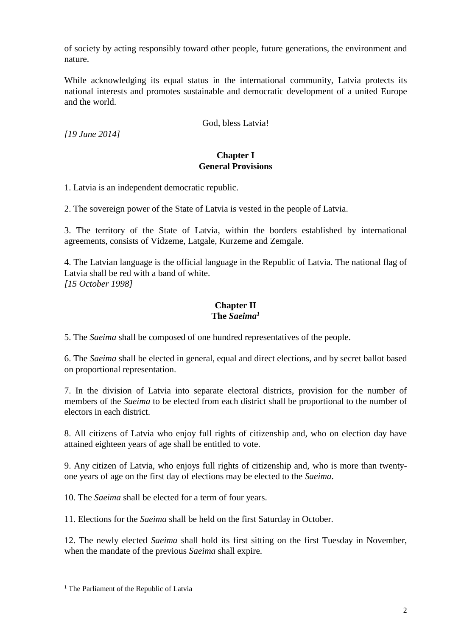of society by acting responsibly toward other people, future generations, the environment and nature.

While acknowledging its equal status in the international community, Latvia protects its national interests and promotes sustainable and democratic development of a united Europe and the world.

God, bless Latvia!

*[19 June 2014]*

### **Chapter I General Provisions**

1. Latvia is an independent democratic republic.

2. The sovereign power of the State of Latvia is vested in the people of Latvia.

3. The territory of the State of Latvia, within the borders established by international agreements, consists of Vidzeme, Latgale, Kurzeme and Zemgale.

4. The Latvian language is the official language in the Republic of Latvia. The national flag of Latvia shall be red with a band of white. *[15 October 1998]*

#### **Chapter II The** *Saeima<sup>1</sup>*

5. The *Saeima* shall be composed of one hundred representatives of the people.

6. The *Saeima* shall be elected in general, equal and direct elections, and by secret ballot based on proportional representation.

7. In the division of Latvia into separate electoral districts, provision for the number of members of the *Saeima* to be elected from each district shall be proportional to the number of electors in each district.

8. All citizens of Latvia who enjoy full rights of citizenship and, who on election day have attained eighteen years of age shall be entitled to vote.

9. Any citizen of Latvia, who enjoys full rights of citizenship and, who is more than twentyone years of age on the first day of elections may be elected to the *Saeima*.

10. The *Saeima* shall be elected for a term of four years.

11. Elections for the *Saeima* shall be held on the first Saturday in October.

12. The newly elected *Saeima* shall hold its first sitting on the first Tuesday in November, when the mandate of the previous *Saeima* shall expire.

<sup>&</sup>lt;sup>1</sup> The Parliament of the Republic of Latvia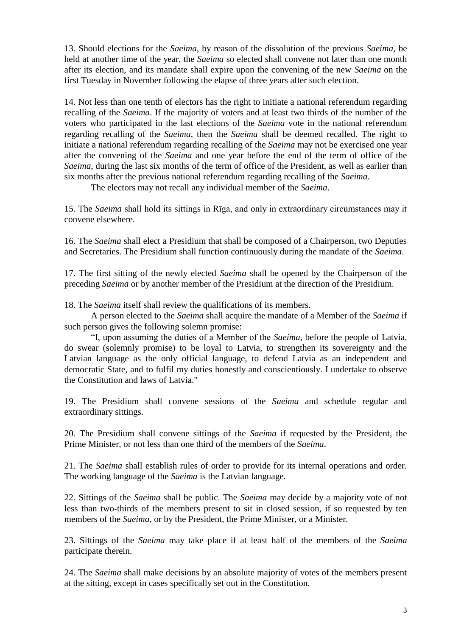13. Should elections for the *Saeima*, by reason of the dissolution of the previous *Saeima*, be held at another time of the year, the *Saeima* so elected shall convene not later than one month after its election, and its mandate shall expire upon the convening of the new *Saeima* on the first Tuesday in November following the elapse of three years after such election.

14. Not less than one tenth of electors has the right to initiate a national referendum regarding recalling of the *Saeima*. If the majority of voters and at least two thirds of the number of the voters who participated in the last elections of the *Saeima* vote in the national referendum regarding recalling of the *Saeima*, then the *Saeima* shall be deemed recalled. The right to initiate a national referendum regarding recalling of the *Saeima* may not be exercised one year after the convening of the *Saeima* and one year before the end of the term of office of the *Saeima*, during the last six months of the term of office of the President, as well as earlier than six months after the previous national referendum regarding recalling of the *Saeima*.

The electors may not recall any individual member of the *Saeima*.

15. The *Saeima* shall hold its sittings in Rīga, and only in extraordinary circumstances may it convene elsewhere.

16. The *Saeima* shall elect a Presidium that shall be composed of a Chairperson, two Deputies and Secretaries. The Presidium shall function continuously during the mandate of the *Saeima*.

17. The first sitting of the newly elected *Saeima* shall be opened by the Chairperson of the preceding *Saeima* or by another member of the Presidium at the direction of the Presidium.

18. The *Saeima* itself shall review the qualifications of its members.

A person elected to the *Saeima* shall acquire the mandate of a Member of the *Saeima* if such person gives the following solemn promise:

"I, upon assuming the duties of a Member of the *Saeima*, before the people of Latvia, do swear (solemnly promise) to be loyal to Latvia, to strengthen its sovereignty and the Latvian language as the only official language, to defend Latvia as an independent and democratic State, and to fulfil my duties honestly and conscientiously. I undertake to observe the Constitution and laws of Latvia."

19. The Presidium shall convene sessions of the *Saeima* and schedule regular and extraordinary sittings.

20. The Presidium shall convene sittings of the *Saeima* if requested by the President, the Prime Minister, or not less than one third of the members of the *Saeima*.

21. The *Saeima* shall establish rules of order to provide for its internal operations and order. The working language of the *Saeima* is the Latvian language.

22. Sittings of the *Saeima* shall be public. The *Saeima* may decide by a majority vote of not less than two-thirds of the members present to sit in closed session, if so requested by ten members of the *Saeima*, or by the President, the Prime Minister, or a Minister.

23. Sittings of the *Saeima* may take place if at least half of the members of the *Saeima* participate therein.

24. The *Saeima* shall make decisions by an absolute majority of votes of the members present at the sitting, except in cases specifically set out in the Constitution.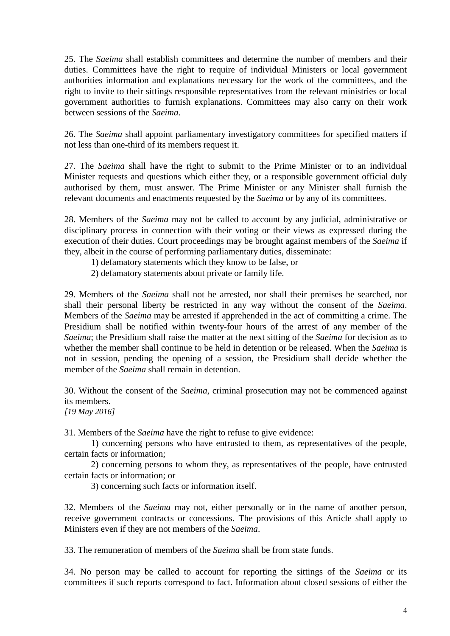25. The *Saeima* shall establish committees and determine the number of members and their duties. Committees have the right to require of individual Ministers or local government authorities information and explanations necessary for the work of the committees, and the right to invite to their sittings responsible representatives from the relevant ministries or local government authorities to furnish explanations. Committees may also carry on their work between sessions of the *Saeima*.

26. The *Saeima* shall appoint parliamentary investigatory committees for specified matters if not less than one-third of its members request it.

27. The *Saeima* shall have the right to submit to the Prime Minister or to an individual Minister requests and questions which either they, or a responsible government official duly authorised by them, must answer. The Prime Minister or any Minister shall furnish the relevant documents and enactments requested by the *Saeima* or by any of its committees.

28. Members of the *Saeima* may not be called to account by any judicial, administrative or disciplinary process in connection with their voting or their views as expressed during the execution of their duties. Court proceedings may be brought against members of the *Saeima* if they, albeit in the course of performing parliamentary duties, disseminate:

- 1) defamatory statements which they know to be false, or
- 2) defamatory statements about private or family life.

29. Members of the *Saeima* shall not be arrested, nor shall their premises be searched, nor shall their personal liberty be restricted in any way without the consent of the *Saeima*. Members of the *Saeima* may be arrested if apprehended in the act of committing a crime. The Presidium shall be notified within twenty-four hours of the arrest of any member of the *Saeima*; the Presidium shall raise the matter at the next sitting of the *Saeima* for decision as to whether the member shall continue to be held in detention or be released. When the *Saeima* is not in session, pending the opening of a session, the Presidium shall decide whether the member of the *Saeima* shall remain in detention.

30. Without the consent of the *Saeima*, criminal prosecution may not be commenced against its members.

*[19 May 2016]*

31. Members of the *Saeima* have the right to refuse to give evidence:

1) concerning persons who have entrusted to them, as representatives of the people, certain facts or information;

2) concerning persons to whom they, as representatives of the people, have entrusted certain facts or information; or

3) concerning such facts or information itself.

32. Members of the *Saeima* may not, either personally or in the name of another person, receive government contracts or concessions. The provisions of this Article shall apply to Ministers even if they are not members of the *Saeima*.

33. The remuneration of members of the *Saeima* shall be from state funds.

34. No person may be called to account for reporting the sittings of the *Saeima* or its committees if such reports correspond to fact. Information about closed sessions of either the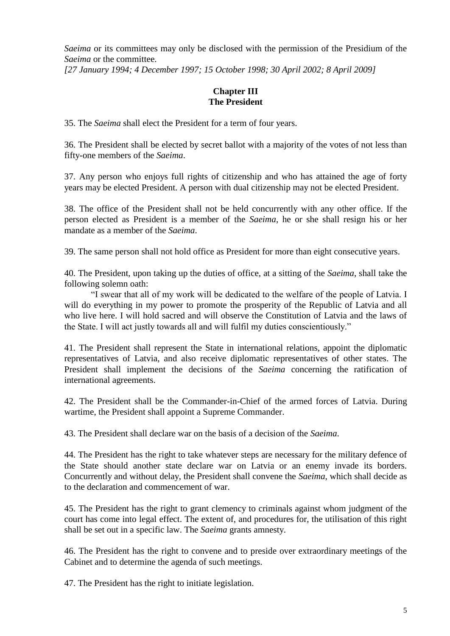*Saeima* or its committees may only be disclosed with the permission of the Presidium of the *Saeima* or the committee.

*[27 January 1994; 4 December 1997; 15 October 1998; 30 April 2002; 8 April 2009]*

### **Chapter III The President**

35. The *Saeima* shall elect the President for a term of four years.

36. The President shall be elected by secret ballot with a majority of the votes of not less than fifty-one members of the *Saeima*.

37. Any person who enjoys full rights of citizenship and who has attained the age of forty years may be elected President. A person with dual citizenship may not be elected President.

38. The office of the President shall not be held concurrently with any other office. If the person elected as President is a member of the *Saeima*, he or she shall resign his or her mandate as a member of the *Saeima*.

39. The same person shall not hold office as President for more than eight consecutive years.

40. The President, upon taking up the duties of office, at a sitting of the *Saeima*, shall take the following solemn oath:

"I swear that all of my work will be dedicated to the welfare of the people of Latvia. I will do everything in my power to promote the prosperity of the Republic of Latvia and all who live here. I will hold sacred and will observe the Constitution of Latvia and the laws of the State. I will act justly towards all and will fulfil my duties conscientiously."

41. The President shall represent the State in international relations, appoint the diplomatic representatives of Latvia, and also receive diplomatic representatives of other states. The President shall implement the decisions of the *Saeima* concerning the ratification of international agreements.

42. The President shall be the Commander-in-Chief of the armed forces of Latvia. During wartime, the President shall appoint a Supreme Commander.

43. The President shall declare war on the basis of a decision of the *Saeima*.

44. The President has the right to take whatever steps are necessary for the military defence of the State should another state declare war on Latvia or an enemy invade its borders. Concurrently and without delay, the President shall convene the *Saeima*, which shall decide as to the declaration and commencement of war.

45. The President has the right to grant clemency to criminals against whom judgment of the court has come into legal effect. The extent of, and procedures for, the utilisation of this right shall be set out in a specific law. The *Saeima* grants amnesty.

46. The President has the right to convene and to preside over extraordinary meetings of the Cabinet and to determine the agenda of such meetings.

47. The President has the right to initiate legislation.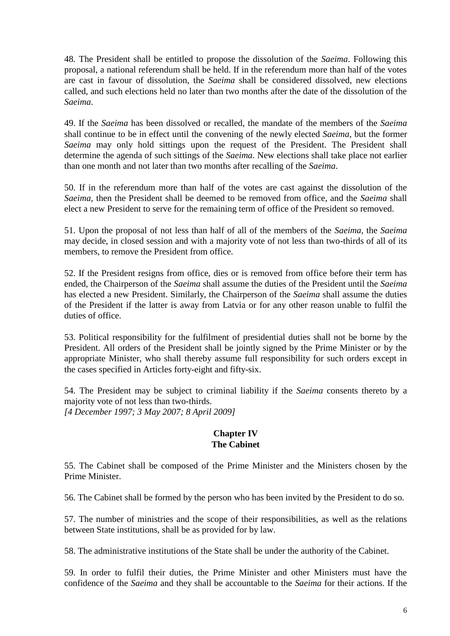48. The President shall be entitled to propose the dissolution of the *Saeima*. Following this proposal, a national referendum shall be held. If in the referendum more than half of the votes are cast in favour of dissolution, the *Saeima* shall be considered dissolved, new elections called, and such elections held no later than two months after the date of the dissolution of the *Saeima*.

49. If the *Saeima* has been dissolved or recalled, the mandate of the members of the *Saeima* shall continue to be in effect until the convening of the newly elected *Saeima*, but the former *Saeima* may only hold sittings upon the request of the President. The President shall determine the agenda of such sittings of the *Saeima*. New elections shall take place not earlier than one month and not later than two months after recalling of the *Saeima*.

50. If in the referendum more than half of the votes are cast against the dissolution of the *Saeima*, then the President shall be deemed to be removed from office, and the *Saeima* shall elect a new President to serve for the remaining term of office of the President so removed.

51. Upon the proposal of not less than half of all of the members of the *Saeima*, the *Saeima* may decide, in closed session and with a majority vote of not less than two-thirds of all of its members, to remove the President from office.

52. If the President resigns from office, dies or is removed from office before their term has ended, the Chairperson of the *Saeima* shall assume the duties of the President until the *Saeima* has elected a new President. Similarly, the Chairperson of the *Saeima* shall assume the duties of the President if the latter is away from Latvia or for any other reason unable to fulfil the duties of office.

53. Political responsibility for the fulfilment of presidential duties shall not be borne by the President. All orders of the President shall be jointly signed by the Prime Minister or by the appropriate Minister, who shall thereby assume full responsibility for such orders except in the cases specified in Articles forty-eight and fifty-six.

54. The President may be subject to criminal liability if the *Saeima* consents thereto by a majority vote of not less than two-thirds.

*[4 December 1997; 3 May 2007; 8 April 2009]*

# **Chapter IV The Cabinet**

55. The Cabinet shall be composed of the Prime Minister and the Ministers chosen by the Prime Minister.

56. The Cabinet shall be formed by the person who has been invited by the President to do so.

57. The number of ministries and the scope of their responsibilities, as well as the relations between State institutions, shall be as provided for by law.

58. The administrative institutions of the State shall be under the authority of the Cabinet.

59. In order to fulfil their duties, the Prime Minister and other Ministers must have the confidence of the *Saeima* and they shall be accountable to the *Saeima* for their actions. If the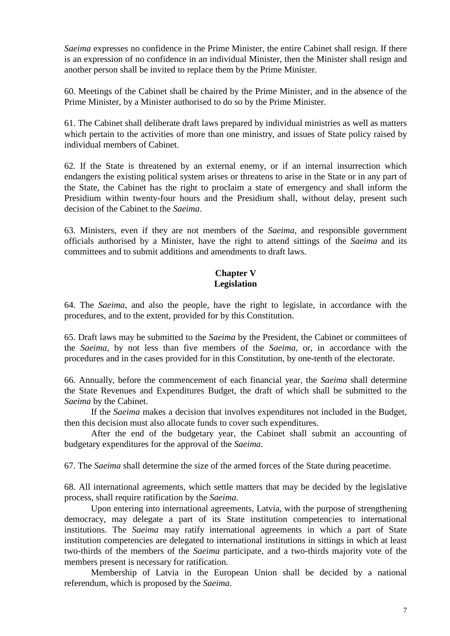*Saeima* expresses no confidence in the Prime Minister, the entire Cabinet shall resign. If there is an expression of no confidence in an individual Minister, then the Minister shall resign and another person shall be invited to replace them by the Prime Minister.

60. Meetings of the Cabinet shall be chaired by the Prime Minister, and in the absence of the Prime Minister, by a Minister authorised to do so by the Prime Minister.

61. The Cabinet shall deliberate draft laws prepared by individual ministries as well as matters which pertain to the activities of more than one ministry, and issues of State policy raised by individual members of Cabinet.

62. If the State is threatened by an external enemy, or if an internal insurrection which endangers the existing political system arises or threatens to arise in the State or in any part of the State, the Cabinet has the right to proclaim a state of emergency and shall inform the Presidium within twenty-four hours and the Presidium shall, without delay, present such decision of the Cabinet to the *Saeima*.

63. Ministers, even if they are not members of the *Saeima*, and responsible government officials authorised by a Minister, have the right to attend sittings of the *Saeima* and its committees and to submit additions and amendments to draft laws.

# **Chapter V Legislation**

64. The *Saeima*, and also the people, have the right to legislate, in accordance with the procedures, and to the extent, provided for by this Constitution.

65. Draft laws may be submitted to the *Saeima* by the President, the Cabinet or committees of the *Saeima*, by not less than five members of the *Saeima*, or, in accordance with the procedures and in the cases provided for in this Constitution, by one-tenth of the electorate.

66. Annually, before the commencement of each financial year, the *Saeima* shall determine the State Revenues and Expenditures Budget, the draft of which shall be submitted to the *Saeima* by the Cabinet.

If the *Saeima* makes a decision that involves expenditures not included in the Budget, then this decision must also allocate funds to cover such expenditures.

After the end of the budgetary year, the Cabinet shall submit an accounting of budgetary expenditures for the approval of the *Saeima*.

67. The *Saeima* shall determine the size of the armed forces of the State during peacetime.

68. All international agreements, which settle matters that may be decided by the legislative process, shall require ratification by the *Saeima*.

Upon entering into international agreements, Latvia, with the purpose of strengthening democracy, may delegate a part of its State institution competencies to international institutions. The *Saeima* may ratify international agreements in which a part of State institution competencies are delegated to international institutions in sittings in which at least two-thirds of the members of the *Saeima* participate, and a two-thirds majority vote of the members present is necessary for ratification.

Membership of Latvia in the European Union shall be decided by a national referendum, which is proposed by the *Saeima*.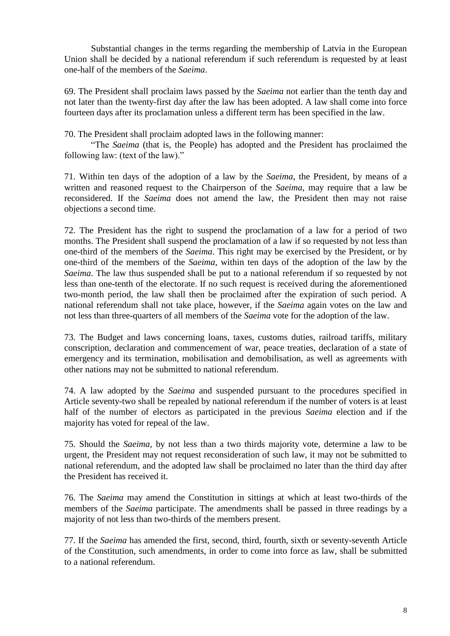Substantial changes in the terms regarding the membership of Latvia in the European Union shall be decided by a national referendum if such referendum is requested by at least one-half of the members of the *Saeima*.

69. The President shall proclaim laws passed by the *Saeima* not earlier than the tenth day and not later than the twenty-first day after the law has been adopted. A law shall come into force fourteen days after its proclamation unless a different term has been specified in the law.

70. The President shall proclaim adopted laws in the following manner:

"The *Saeima* (that is, the People) has adopted and the President has proclaimed the following law: (text of the law)."

71. Within ten days of the adoption of a law by the *Saeima*, the President, by means of a written and reasoned request to the Chairperson of the *Saeima*, may require that a law be reconsidered. If the *Saeima* does not amend the law, the President then may not raise objections a second time.

72. The President has the right to suspend the proclamation of a law for a period of two months. The President shall suspend the proclamation of a law if so requested by not less than one-third of the members of the *Saeima*. This right may be exercised by the President, or by one-third of the members of the *Saeima*, within ten days of the adoption of the law by the *Saeima*. The law thus suspended shall be put to a national referendum if so requested by not less than one-tenth of the electorate. If no such request is received during the aforementioned two-month period, the law shall then be proclaimed after the expiration of such period. A national referendum shall not take place, however, if the *Saeima* again votes on the law and not less than three-quarters of all members of the *Saeima* vote for the adoption of the law.

73. The Budget and laws concerning loans, taxes, customs duties, railroad tariffs, military conscription, declaration and commencement of war, peace treaties, declaration of a state of emergency and its termination, mobilisation and demobilisation, as well as agreements with other nations may not be submitted to national referendum.

74. A law adopted by the *Saeima* and suspended pursuant to the procedures specified in Article seventy-two shall be repealed by national referendum if the number of voters is at least half of the number of electors as participated in the previous *Saeima* election and if the majority has voted for repeal of the law.

75. Should the *Saeima*, by not less than a two thirds majority vote, determine a law to be urgent, the President may not request reconsideration of such law, it may not be submitted to national referendum, and the adopted law shall be proclaimed no later than the third day after the President has received it.

76. The *Saeima* may amend the Constitution in sittings at which at least two-thirds of the members of the *Saeima* participate. The amendments shall be passed in three readings by a majority of not less than two-thirds of the members present.

77. If the *Saeima* has amended the first, second, third, fourth, sixth or seventy-seventh Article of the Constitution, such amendments, in order to come into force as law, shall be submitted to a national referendum.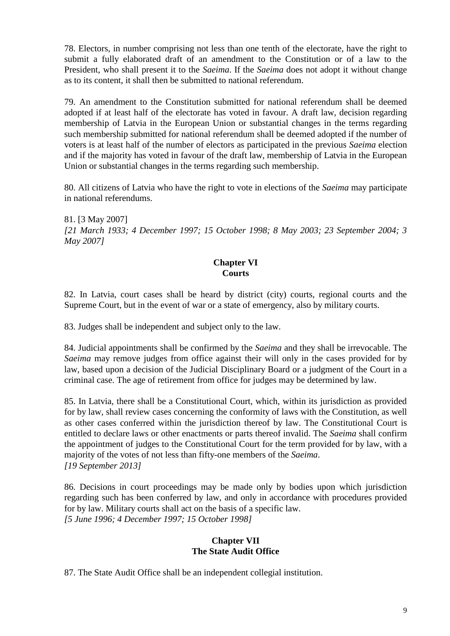78. Electors, in number comprising not less than one tenth of the electorate, have the right to submit a fully elaborated draft of an amendment to the Constitution or of a law to the President, who shall present it to the *Saeima*. If the *Saeima* does not adopt it without change as to its content, it shall then be submitted to national referendum.

79. An amendment to the Constitution submitted for national referendum shall be deemed adopted if at least half of the electorate has voted in favour. A draft law, decision regarding membership of Latvia in the European Union or substantial changes in the terms regarding such membership submitted for national referendum shall be deemed adopted if the number of voters is at least half of the number of electors as participated in the previous *Saeima* election and if the majority has voted in favour of the draft law, membership of Latvia in the European Union or substantial changes in the terms regarding such membership.

80. All citizens of Latvia who have the right to vote in elections of the *Saeima* may participate in national referendums.

81. [3 May 2007] *[21 March 1933; 4 December 1997; 15 October 1998; 8 May 2003; 23 September 2004; 3 May 2007]*

# **Chapter VI Courts**

82. In Latvia, court cases shall be heard by district (city) courts, regional courts and the Supreme Court, but in the event of war or a state of emergency, also by military courts.

83. Judges shall be independent and subject only to the law.

84. Judicial appointments shall be confirmed by the *Saeima* and they shall be irrevocable. The *Saeima* may remove judges from office against their will only in the cases provided for by law, based upon a decision of the Judicial Disciplinary Board or a judgment of the Court in a criminal case. The age of retirement from office for judges may be determined by law.

85. In Latvia, there shall be a Constitutional Court, which, within its jurisdiction as provided for by law, shall review cases concerning the conformity of laws with the Constitution, as well as other cases conferred within the jurisdiction thereof by law. The Constitutional Court is entitled to declare laws or other enactments or parts thereof invalid. The *Saeima* shall confirm the appointment of judges to the Constitutional Court for the term provided for by law, with a majority of the votes of not less than fifty-one members of the *Saeima*. *[19 September 2013]*

86. Decisions in court proceedings may be made only by bodies upon which jurisdiction regarding such has been conferred by law, and only in accordance with procedures provided for by law. Military courts shall act on the basis of a specific law. *[5 June 1996; 4 December 1997; 15 October 1998]*

# **Chapter VII The State Audit Office**

87. The State Audit Office shall be an independent collegial institution.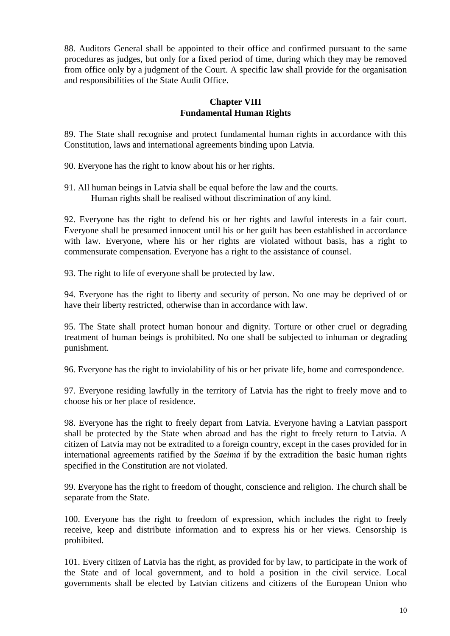88. Auditors General shall be appointed to their office and confirmed pursuant to the same procedures as judges, but only for a fixed period of time, during which they may be removed from office only by a judgment of the Court. A specific law shall provide for the organisation and responsibilities of the State Audit Office.

### **Chapter VIII Fundamental Human Rights**

89. The State shall recognise and protect fundamental human rights in accordance with this Constitution, laws and international agreements binding upon Latvia.

90. Everyone has the right to know about his or her rights.

91. All human beings in Latvia shall be equal before the law and the courts. Human rights shall be realised without discrimination of any kind.

92. Everyone has the right to defend his or her rights and lawful interests in a fair court. Everyone shall be presumed innocent until his or her guilt has been established in accordance with law. Everyone, where his or her rights are violated without basis, has a right to commensurate compensation. Everyone has a right to the assistance of counsel.

93. The right to life of everyone shall be protected by law.

94. Everyone has the right to liberty and security of person. No one may be deprived of or have their liberty restricted, otherwise than in accordance with law.

95. The State shall protect human honour and dignity. Torture or other cruel or degrading treatment of human beings is prohibited. No one shall be subjected to inhuman or degrading punishment.

96. Everyone has the right to inviolability of his or her private life, home and correspondence.

97. Everyone residing lawfully in the territory of Latvia has the right to freely move and to choose his or her place of residence.

98. Everyone has the right to freely depart from Latvia. Everyone having a Latvian passport shall be protected by the State when abroad and has the right to freely return to Latvia. A citizen of Latvia may not be extradited to a foreign country, except in the cases provided for in international agreements ratified by the *Saeima* if by the extradition the basic human rights specified in the Constitution are not violated.

99. Everyone has the right to freedom of thought, conscience and religion. The church shall be separate from the State.

100. Everyone has the right to freedom of expression, which includes the right to freely receive, keep and distribute information and to express his or her views. Censorship is prohibited.

101. Every citizen of Latvia has the right, as provided for by law, to participate in the work of the State and of local government, and to hold a position in the civil service. Local governments shall be elected by Latvian citizens and citizens of the European Union who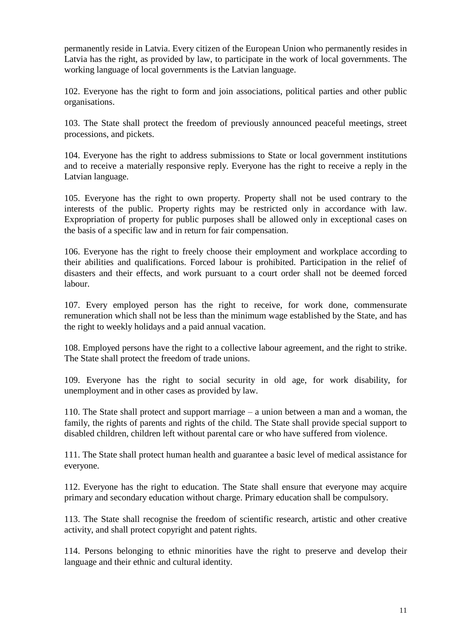permanently reside in Latvia. Every citizen of the European Union who permanently resides in Latvia has the right, as provided by law, to participate in the work of local governments. The working language of local governments is the Latvian language.

102. Everyone has the right to form and join associations, political parties and other public organisations.

103. The State shall protect the freedom of previously announced peaceful meetings, street processions, and pickets.

104. Everyone has the right to address submissions to State or local government institutions and to receive a materially responsive reply. Everyone has the right to receive a reply in the Latvian language.

105. Everyone has the right to own property. Property shall not be used contrary to the interests of the public. Property rights may be restricted only in accordance with law. Expropriation of property for public purposes shall be allowed only in exceptional cases on the basis of a specific law and in return for fair compensation.

106. Everyone has the right to freely choose their employment and workplace according to their abilities and qualifications. Forced labour is prohibited. Participation in the relief of disasters and their effects, and work pursuant to a court order shall not be deemed forced labour.

107. Every employed person has the right to receive, for work done, commensurate remuneration which shall not be less than the minimum wage established by the State, and has the right to weekly holidays and a paid annual vacation.

108. Employed persons have the right to a collective labour agreement, and the right to strike. The State shall protect the freedom of trade unions.

109. Everyone has the right to social security in old age, for work disability, for unemployment and in other cases as provided by law.

110. The State shall protect and support marriage – a union between a man and a woman, the family, the rights of parents and rights of the child. The State shall provide special support to disabled children, children left without parental care or who have suffered from violence.

111. The State shall protect human health and guarantee a basic level of medical assistance for everyone.

112. Everyone has the right to education. The State shall ensure that everyone may acquire primary and secondary education without charge. Primary education shall be compulsory.

113. The State shall recognise the freedom of scientific research, artistic and other creative activity, and shall protect copyright and patent rights.

114. Persons belonging to ethnic minorities have the right to preserve and develop their language and their ethnic and cultural identity.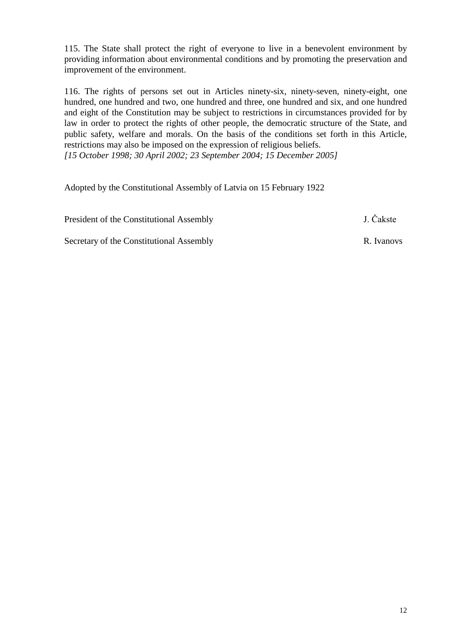115. The State shall protect the right of everyone to live in a benevolent environment by providing information about environmental conditions and by promoting the preservation and improvement of the environment.

116. The rights of persons set out in Articles ninety-six, ninety-seven, ninety-eight, one hundred, one hundred and two, one hundred and three, one hundred and six, and one hundred and eight of the Constitution may be subject to restrictions in circumstances provided for by law in order to protect the rights of other people, the democratic structure of the State, and public safety, welfare and morals. On the basis of the conditions set forth in this Article, restrictions may also be imposed on the expression of religious beliefs. *[15 October 1998; 30 April 2002; 23 September 2004; 15 December 2005]*

Adopted by the Constitutional Assembly of Latvia on 15 February 1922

President of the Constitutional Assembly J. Čakste Secretary of the Constitutional Assembly R. Ivanovs